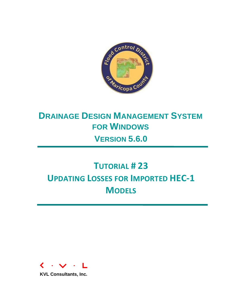

## **DRAINAGE DESIGN MANAGEMENT SYSTEM FOR WINDOWS VERSION 5.6.0**

## **TUTORIAL # 23 UPDATING LOSSES FOR IMPORTED HEC-1 MODELS**



**KVL Consultants, Inc.**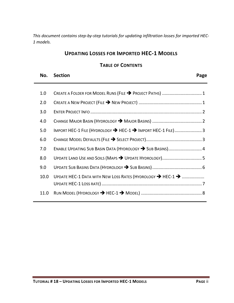*This document contains step-by-step tutorials for updating infiltration losses for imported HEC-1 models.* 

#### **UPDATING LOSSES FOR IMPORTED HEC-1 MODELS**

#### **TABLE OF CONTENTS**

# **No. Section Page** 1.0 CREATE A FOLDER FOR MODEL RUNS (FILE PROJECT PATHS) [................................](#page-2-0) 1

| 2.0  |                                                                                    |
|------|------------------------------------------------------------------------------------|
| 3.0  |                                                                                    |
| 4.0  |                                                                                    |
| 5.0  | IMPORT HEC-1 FILE (HYDROLOGY → HEC-1 → IMPORT HEC-1 FILE)3                         |
| 6.0  |                                                                                    |
| 7.0  | ENABLE UPDATING SUB BASIN DATA (HYDROLOGY > SUB BASINS) 4                          |
| 8.0  |                                                                                    |
| 9.0  |                                                                                    |
| 10.0 | UPDATE HEC-1 DATA WITH NEW LOSS RATES (HYDROLOGY $\rightarrow$ HEC-1 $\rightarrow$ |
| 11.0 |                                                                                    |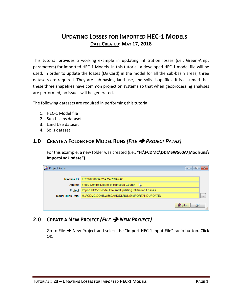### **UPDATING LOSSES FOR IMPORTED HEC-1 MODELS DATE CREATED: MAY 17, 2018**

This tutorial provides a working example in updating infiltration losses (i.e., Green-Ampt parameters) for imported HEC-1 Models. In this tutorial, a developed HEC-1 model file will be used. In order to update the losses (LG Card) in the model for all the sub-basin areas, three datasets are required. They are sub-basins, land use, and soils shapefiles. It is assumed that these three shapefiles have common projection systems so that when geoprocessing analyses are performed, no issues will be generated.

The following datasets are required in performing this tutorial:

- 1. HEC-1 Model file
- 2. Sub-basins dataset
- 3. Land Use dataset
- 4. Soils dataset

#### <span id="page-2-0"></span>**1.0 CREATE A FOLDER FOR MODEL RUNS** *(FILE PROJECT PATHS)*

For this example, a new folder was created (i.e., "**H:\FCDMC\DDMSW560A\Modlruns\ ImportAndUpdate")**.



#### <span id="page-2-1"></span>**2.0 CREATE A NEW PROJECT** *(FILE NEW PROJECT)*

Go to File  $\rightarrow$  New Project and select the "Import HEC-1 Input File" radio button. Click OK.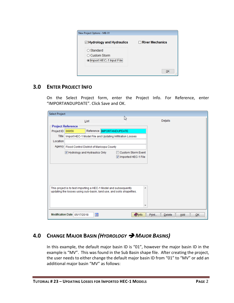| ☑ Hydrology and Hydraulics       | $\Box$ River Mechanics |
|----------------------------------|------------------------|
| $\bigcirc$ Standard              |                        |
| $\bigcirc$ Custom Storm          |                        |
| <b>O</b> Import HEC-1 Input File |                        |

#### <span id="page-3-0"></span>**3.0 ENTER PROJECT INFO**

On the Select Project form, enter the Project Info. For Reference, enter "IMPORTANDUPDATE". Click Save and OK.

| <b>Select Project</b> |                              |                                                                                                                                          |   |                       |                 |     |    |
|-----------------------|------------------------------|------------------------------------------------------------------------------------------------------------------------------------------|---|-----------------------|-----------------|-----|----|
|                       |                              | List                                                                                                                                     | じ |                       | Details         |     |    |
|                       | <b>Project Reference</b>     |                                                                                                                                          |   |                       |                 |     |    |
| Project ID            | 00056                        | Reference   IMPORTANDUPDATE                                                                                                              |   |                       |                 |     |    |
| <b>Title</b>          |                              | Import HEC-1 Model File and Updating Infiltration Losses                                                                                 |   |                       |                 |     |    |
| Location              |                              |                                                                                                                                          |   |                       |                 |     |    |
|                       |                              | Agency   Flood Control District of Maricopa County                                                                                       |   |                       |                 |     |    |
|                       |                              | Hydrology and Hydraulics Only                                                                                                            |   | Custom Storm Event    |                 |     |    |
|                       |                              |                                                                                                                                          |   | V Imported HEC-1 File |                 |     |    |
|                       |                              |                                                                                                                                          |   |                       |                 |     |    |
|                       |                              |                                                                                                                                          |   |                       |                 |     |    |
|                       |                              |                                                                                                                                          |   |                       |                 |     |    |
|                       |                              |                                                                                                                                          |   |                       |                 |     |    |
|                       |                              |                                                                                                                                          |   |                       |                 |     |    |
|                       |                              | This project is to test importing a HEC-1 Model and subsequently<br>updating the losses using sub-basin, land use, and soils shapefiles. |   |                       |                 |     |    |
|                       |                              |                                                                                                                                          |   |                       |                 |     |    |
|                       |                              |                                                                                                                                          |   |                       |                 |     |    |
|                       |                              |                                                                                                                                          |   |                       |                 |     |    |
|                       |                              |                                                                                                                                          |   |                       |                 |     |    |
|                       | Modification Date 05/17/2018 | $\overline{\mathbf{r}}$                                                                                                                  |   | <b>O</b> Info         | Print<br>Delete | Add | QK |

#### <span id="page-3-1"></span>**4.0 CHANGE MAJOR BASIN** *(HYDROLOGY MAJOR BASINS)*

In this example, the default major basin ID is "01", however the major basin ID in the example is "MV". This was found in the Sub Basin shape file. After creating the project, the user needs to either change the default major basin ID from "01" to "MV" or add an additional major basin "MV" as follows: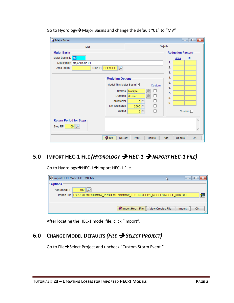| Major Basins                                                                                                                                                                                                                                    | $\Box$ $\Box$ $\mathbf{x}$                               |
|-------------------------------------------------------------------------------------------------------------------------------------------------------------------------------------------------------------------------------------------------|----------------------------------------------------------|
| Details<br>List                                                                                                                                                                                                                                 |                                                          |
| <b>Major Basin</b><br>Major Basin ID MV<br>Description   Major Basin 01<br>$\overline{\phantom{a}}$<br>Area (sq mi)<br><b>DEFAULT</b><br>Rain ID                                                                                                | <b>Reduction Factors</b><br>RE<br>Area<br>1.<br>2.<br>3. |
| <b>Modeling Options</b><br>Model This Major Basin ☑<br>Custom<br><b>Storms</b><br>Multiple<br><b>Duration</b><br>⊔<br>6 Hour<br>$\frac{+}{+}$<br><b>Tab Interval</b><br>5<br>No. Ordinates<br>$\frac{1}{\tau}$<br>2000<br>Output<br>П<br>÷<br>5 | 4.<br>5.<br>6.<br>7.<br>8.<br>9.<br>Custom $\Box$        |
| <b>Return Period for Steps</b><br>Step RP<br>100                                                                                                                                                                                                | Α<br>v                                                   |
| <b>O</b> Info<br>Print<br><b>Resort</b><br>Delete                                                                                                                                                                                               | QK<br>Add<br>Update<br>53                                |

Go to Hydrology $\rightarrow$  Major Basins and change the default "01" to "MV"

### <span id="page-4-0"></span>**5.0 IMPORT HEC-1 FILE** *(HYDROLOGY HEC-1 IMPORT HEC-1 FILE)*

Go to Hydrology >HEC-1>Import HEC-1 File.

| Import HEC1 Model File - MB: MV |                                                                                  | иг                       | $\Box$<br>$\Box$ |
|---------------------------------|----------------------------------------------------------------------------------|--------------------------|------------------|
| $\Gamma$ Options                |                                                                                  |                          |                  |
| Assumed RP                      | 100                                                                              |                          |                  |
|                                 | Import File   H:\PROJECTS\DDMSW_PROJECTS\DDMSW_TESTING\HEC1_MODELS\MODEL_6HR.DAT |                          | 徑                |
|                                 |                                                                                  |                          |                  |
|                                 | Mimport Hec-1 File                                                               | <b>View Created File</b> | QK<br>Import     |

After locating the HEC-1 model file, click "Import".

#### <span id="page-4-1"></span>**6.0 CHANGE MODEL DEFAULTS** *(FILE SELECT PROJECT)*

Go to File Select Project and uncheck "Custom Storm Event."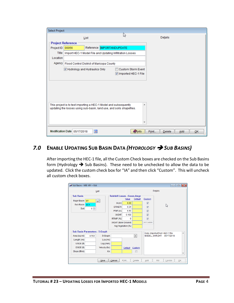| <b>Select Project</b> |                              |                                                                      |                     |               |                 |           |
|-----------------------|------------------------------|----------------------------------------------------------------------|---------------------|---------------|-----------------|-----------|
|                       |                              | List                                                                 | ピ                   |               | Details         |           |
|                       | <b>Project Reference</b>     |                                                                      |                     |               |                 |           |
| Project ID            | 00056                        | Reference   IMPORTANDUPDATE                                          |                     |               |                 |           |
| Title                 |                              | Import HEC-1 Model File and Updating Infiltration Losses             |                     |               |                 |           |
| Location              |                              |                                                                      |                     |               |                 |           |
|                       |                              | Agency   Flood Control District of Maricopa County                   |                     |               |                 |           |
|                       |                              | Hydrology and Hydraulics Only                                        | Custom Storm Event  |               |                 |           |
|                       |                              |                                                                      | Imported HEC-1 File |               |                 |           |
|                       |                              |                                                                      |                     |               |                 |           |
|                       |                              |                                                                      |                     |               |                 |           |
|                       |                              |                                                                      |                     |               |                 |           |
|                       |                              |                                                                      |                     |               |                 |           |
|                       |                              |                                                                      |                     |               |                 |           |
|                       |                              | This project is to test importing a HEC-1 Model and subsequently     |                     |               |                 |           |
|                       |                              | updating the losses using sub-basin, land use, and soils shapefiles. |                     |               |                 |           |
|                       |                              |                                                                      |                     |               |                 |           |
|                       |                              |                                                                      |                     |               |                 |           |
|                       |                              |                                                                      |                     |               |                 |           |
|                       | Modification Date 05/17/2018 | m.                                                                   |                     | <b>O</b> Info | Print<br>Delete | OK<br>Add |

#### <span id="page-5-0"></span>*7.0* **ENABLE UPDATING SUB BASIN DATA** *(HYDROLOGY SUB BASINS)*

After importing the HEC-1 file, all the Custom Check boxes are checked on the Sub Basins form (Hydrology  $\rightarrow$  Sub Basins). These need to be unchecked to allow the data to be updated. Click the custom check box for "IA" and then click "Custom". This will uncheck all custom check boxes.

| Sub Basins - MB: MV -- Edit                             |                                                                       |                |                     |                    |                      |                         | $\Box$ e x                     |  |  |
|---------------------------------------------------------|-----------------------------------------------------------------------|----------------|---------------------|--------------------|----------------------|-------------------------|--------------------------------|--|--|
|                                                         |                                                                       | List           |                     |                    |                      |                         | Details                        |  |  |
| <b>Sub Basin</b><br><b>Rainfall Losses - Green-Ampt</b> |                                                                       |                |                     |                    |                      |                         |                                |  |  |
| Major Basin MV                                          |                                                                       | ₽              |                     | Value              | Default              | Custom                  |                                |  |  |
| Sub Basin SC1                                           |                                                                       |                | IA(in)              | 0.00               |                      | $\triangledown$         | ピ                              |  |  |
| Sort                                                    | $0 \Rightarrow$                                                       |                | <b>DTHETA</b>       | 0.34               |                      | $\overline{\mathbf{v}}$ |                                |  |  |
|                                                         |                                                                       |                | PSIF (in)           | 6.60               |                      | $\overline{\mathbf{v}}$ |                                |  |  |
|                                                         |                                                                       |                | <b>XKSAT</b>        | 0.160              |                      | $\overline{\mathbf{v}}$ |                                |  |  |
|                                                         |                                                                       |                | RTIMP (%)           | 9                  |                      | $\overline{\mathsf{v}}$ |                                |  |  |
|                                                         |                                                                       |                | XKSAT (Bare Ground) |                    |                      | All Custom              |                                |  |  |
|                                                         |                                                                       |                |                     | Avg Vegetation (%) |                      |                         |                                |  |  |
| <b>Sub Basin Parameters - S-Graph</b>                   |                                                                       |                |                     |                    |                      |                         | Data imported from HEC-1 file: |  |  |
| Area (sq mi)                                            | 0.562                                                                 | S-Graph        |                     |                    | $\blacktriangledown$ | MODEL 6HR.DAT           | 05/17/2018                     |  |  |
| Length (mi)                                             |                                                                       | Lca (mi)       |                     |                    |                      |                         |                                |  |  |
| USGE (ft)                                               |                                                                       | Lag (min)      |                     |                    |                      |                         |                                |  |  |
| DSGE (ft)                                               |                                                                       | Velocity (f/s) |                     | Default            | Custom               |                         |                                |  |  |
| Slope (ft/mi)                                           |                                                                       |                | Kn                  |                    | $\blacksquare$       |                         |                                |  |  |
|                                                         |                                                                       |                |                     |                    |                      |                         | ۳                              |  |  |
|                                                         | Cancel<br>OK<br>Save<br>Print<br>Delete<br><b>MB</b><br>Update<br>Add |                |                     |                    |                      |                         |                                |  |  |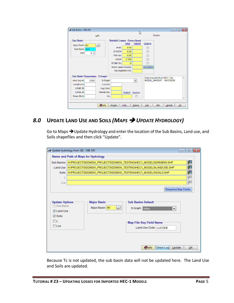| Sub Basins - MB: MV                   |                                     |                    | W                        |                   |                                |                          | $\begin{array}{c c c c c c} \hline \multicolumn{3}{c }{\mathbf{C}} & \multicolumn{3}{c }{\mathbf{X}} \end{array}$ |
|---------------------------------------|-------------------------------------|--------------------|--------------------------|-------------------|--------------------------------|--------------------------|-------------------------------------------------------------------------------------------------------------------|
| List                                  |                                     |                    |                          |                   | Details                        |                          |                                                                                                                   |
| <b>Sub Basin</b>                      | <b>Rainfall Losses - Green-Ampt</b> |                    |                          |                   |                                |                          |                                                                                                                   |
| $\overline{\nu}$<br>Major Basin MV    |                                     | Value              | Default                  | Custom            |                                |                          |                                                                                                                   |
| Sub Basin SC1                         | IA(in)                              | 0.00               |                          |                   |                                |                          |                                                                                                                   |
| $0 \Leftrightarrow$<br>Sort           | <b>DTHETA</b>                       | 0.34               |                          | F                 |                                |                          |                                                                                                                   |
|                                       | PSIF (in)                           | 6.60               |                          | Г                 |                                |                          |                                                                                                                   |
|                                       | <b>XKSAT</b>                        | 0.160              |                          | $\blacksquare$    |                                |                          |                                                                                                                   |
|                                       | RTIMP (%)                           | 9                  |                          |                   |                                |                          |                                                                                                                   |
|                                       | XKSAT (Bare Ground)                 |                    |                          | <b>All Custom</b> |                                |                          |                                                                                                                   |
|                                       |                                     | Avg Vegetation (%) |                          |                   |                                |                          |                                                                                                                   |
| <b>Sub Basin Parameters - S-Graph</b> |                                     |                    |                          |                   |                                |                          |                                                                                                                   |
| Area (sq mi)<br>0.562                 | S-Graph                             |                    | $\overline{\phantom{a}}$ |                   | Data imported from HEC-1 file: | MODEL_6HR.DAT 05/17/2018 | ▲                                                                                                                 |
| Length (mi)                           | Lca (mi)                            |                    |                          |                   |                                |                          |                                                                                                                   |
| $USGE$ (ft)                           | Lag (min)                           |                    |                          |                   |                                |                          |                                                                                                                   |
| DSGE (ft)                             | Velocity (f/s)                      | Default            | Custom                   |                   |                                |                          |                                                                                                                   |
| Slope (ft/mi)                         | Kn                                  |                    |                          |                   |                                |                          |                                                                                                                   |
|                                       |                                     |                    |                          |                   |                                |                          | $\overline{\phantom{a}}$                                                                                          |
|                                       | Olnfo<br>ReSort                     | Print              | Delete                   | Add               | <b>MB</b>                      | Update                   | OK                                                                                                                |

## <span id="page-6-0"></span>*8.0* **UPDATE LAND USE AND SOILS** *(MAPS UPDATE HYDROLOGY)*

Go to Maps  $\rightarrow$  Update Hydrology and enter the location of the Sub Basins, Land use, and Soils shapefiles and then click "Update".

|                                                                                                          | Update hydrology from GIS - MB: MV<br><u>- 19</u>                                                                                                                            | $\mathbf{x}$ |  |  |  |  |  |  |  |  |
|----------------------------------------------------------------------------------------------------------|------------------------------------------------------------------------------------------------------------------------------------------------------------------------------|--------------|--|--|--|--|--|--|--|--|
| Name and Path of Maps for Hydrology                                                                      |                                                                                                                                                                              |              |  |  |  |  |  |  |  |  |
| Sub Basins                                                                                               | 酄<br>H:\PROJECTS\DDMSW_PROJECTS\DDMSW_TESTING\HEC1_MODELS\DRNBSN.SHP                                                                                                         |              |  |  |  |  |  |  |  |  |
|                                                                                                          | Land Use   H:\PROJECTS\DDMSW_PROJECTS\DDMSW_TESTING\HEC1_MODELS\LANDUSE.SHP                                                                                                  | ପ            |  |  |  |  |  |  |  |  |
| Soils                                                                                                    | H:\PROJECTS\DDMSW_PROJECTS\DDMSW_TESTING\HEC1_MODELS\SOILS.SHP                                                                                                               | ପ            |  |  |  |  |  |  |  |  |
|                                                                                                          |                                                                                                                                                                              | 僵            |  |  |  |  |  |  |  |  |
| Lca                                                                                                      |                                                                                                                                                                              | 僵            |  |  |  |  |  |  |  |  |
|                                                                                                          | Required Map Fields                                                                                                                                                          |              |  |  |  |  |  |  |  |  |
| <b>Update Options</b><br><b>√</b> Sub Basin<br><b>V</b> Land Use<br>$\sqrt{ }$ Soils<br>ΠL<br>$\Box$ Lca | <b>Major Basin</b><br><b>Sub Basins Default</b><br>Major Basin MV<br>×<br>S-Graph Valley<br>$\blacktriangledown$<br><b>Map File Key Field Name</b><br>Land Use Code   LUCODE |              |  |  |  |  |  |  |  |  |
|                                                                                                          | <b>O</b> Info<br>Check Log<br>Update                                                                                                                                         | QK           |  |  |  |  |  |  |  |  |

Because Tc is not updated, the sub basin data will not be updated here. The Land Use and Soils are updated.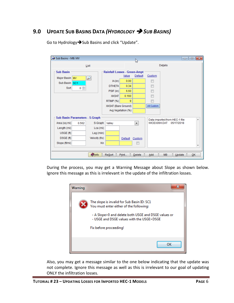#### <span id="page-7-0"></span>**9.0 UPDATE SUB BASINS DATA** *(HYDROLOGY SUB BASINS)*

| Sub Basins - MB: MV                   |          |                |                                     |                    | B                    |              |           |                                | $\Box$ $\Box$ $\mathbf{X}$ |
|---------------------------------------|----------|----------------|-------------------------------------|--------------------|----------------------|--------------|-----------|--------------------------------|----------------------------|
|                                       |          |                |                                     | Details            |                      |              |           |                                |                            |
| <b>Sub Basin</b>                      |          |                | <b>Rainfall Losses - Green-Ampt</b> |                    |                      |              |           |                                |                            |
| Major Basin MV                        |          | ₽              |                                     | Value              | Default              | Custom       |           |                                |                            |
| Sub Basin<br>SC <sub>1</sub>          |          |                | IA(in)                              | 0.00               |                      | Г            |           |                                |                            |
| Sort                                  | $0 \div$ |                | <b>DTHETA</b>                       | 0.34               |                      | П            |           |                                |                            |
|                                       |          |                | PSIF (in)                           | 6.60               |                      | П            |           |                                |                            |
|                                       |          |                | <b>XKSAT</b>                        | 0.160              |                      | П            |           |                                |                            |
|                                       |          |                | RTIMP (%)                           | 9                  |                      |              |           |                                |                            |
|                                       |          |                | XKSAT (Bare Ground)                 |                    |                      | All Custom   |           |                                |                            |
|                                       |          |                |                                     | Avg Vegetation (%) |                      |              |           |                                |                            |
| <b>Sub Basin Parameters - S-Graph</b> |          |                |                                     |                    |                      |              |           | Data imported from HEC-1 file: | ▲                          |
| Area (sq mi)                          | 0.562    | S-Graph        | Valley                              |                    | $\blacktriangledown$ | WICEX06H.DAT |           | 05/17/2018                     |                            |
| Length (mi)                           |          | $Lca$ (mi)     |                                     |                    |                      |              |           |                                |                            |
| $USGE$ (ft)                           |          | Lag (min)      |                                     |                    |                      |              |           |                                |                            |
| DSGE (ft)                             |          | Velocity (f/s) |                                     | Default            | Custom               |              |           |                                |                            |
| Slope (ft/mi)                         |          |                | Kn                                  |                    |                      |              |           |                                |                            |
|                                       |          |                |                                     |                    |                      |              |           |                                | $\overline{\phantom{a}}$   |
|                                       |          | <b>O</b> Info  | <b>ReSort</b>                       | Print              | Delete               | Add          | <b>MB</b> | Update                         | QK                         |

Go to Hydrology $\rightarrow$ Sub Basins and click "Update".

During the process, you may get a Warning Message about Slope as shown below. Ignore this message as this is irrelevant in the update of the infiltration losses.



Also, you may get a message similar to the one below indicating that the update was not complete. Ignore this message as well as this is irrelevant to our goal of updating ONLY the infiltration losses.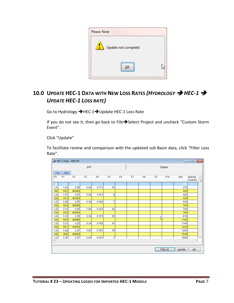

## <span id="page-8-0"></span>**10.0 UPDATE HEC-1 DATA WITH NEW LOSS RATES** *(HYDROLOGY HEC-1 UPDATE HEC-1 LOSS RATE)*

Go to Hydrology → HEC-1→ Update HEC-1 Loss Rate

If you do not see it, then go back to File $\rightarrow$ Select Project and uncheck "Custom Storm Event".

Click "Update"

To facilitate review and comparison with the updated sub Basin data, click "Filter Loss Rate".

|                | HEC-1 Data - MB: MV<br>$\mathbf{x}$<br>$\Box$ e |                |                |                |                |                |         |                |    |                   |        |         |    |
|----------------|-------------------------------------------------|----------------|----------------|----------------|----------------|----------------|---------|----------------|----|-------------------|--------|---------|----|
|                |                                                 |                | List           |                |                |                | Details |                |    |                   |        |         |    |
| Find           | Next                                            |                |                |                |                |                |         |                |    |                   |        |         |    |
| F <sub>0</sub> | F <sub>1</sub>                                  | F <sub>2</sub> | F <sub>3</sub> | F <sub>4</sub> | F <sub>5</sub> | F <sub>6</sub> | F7      | F <sub>8</sub> | F9 | F10               | Sort   | Special | ∸  |
|                |                                                 |                |                |                |                |                |         |                |    |                   |        | Code ID |    |
|                |                                                 | BASI           |                |                |                |                |         |                |    |                   |        |         |    |
| LG             | 0.24                                            | 0.28           | 6.54           | 0.171          | 16             |                |         |                |    |                   | 270    |         |    |
| KK             | SC <sub>2</sub>                                 | <b>BASIN</b>   |                |                |                |                |         |                |    |                   | 400    |         |    |
| LG             | 0.31                                            | 0.23           | 6.54           | 0.151          | 8              |                |         |                |    |                   | 420    |         |    |
| KK             | SC <sub>3</sub>                                 | <b>BASIN</b>   |                |                |                |                |         |                |    |                   | 520    |         |    |
| LG             | 0.28                                            | 0.25           | 6.34           | 0.164          | 7              |                |         |                |    |                   | 540    |         |    |
| KK             | SC <sub>4</sub>                                 | <b>BASIN</b>   |                |                |                |                |         |                |    |                   | 700    |         |    |
| LG             | 0.33                                            | 0.25           | 7.00           | 0.121          | 22             |                |         |                |    |                   | 720    |         |    |
| KK             | SC <sub>5</sub>                                 | <b>BASIN</b>   |                |                |                |                |         |                |    |                   | 790    |         |    |
| LG             | 0.33                                            | 0.36           | 6.34           | 0.161          | 35             |                |         |                |    |                   | 810    |         |    |
| KK             | SC <sub>6</sub>                                 | <b>BASIN</b>   |                |                |                |                |         |                | hť |                   | 1120   |         |    |
| LG             | 0.21                                            | 0.22           | 6.34           | 0.192          | 41             |                |         |                |    |                   | 1140   |         |    |
| KK             | SN <sub>1</sub>                                 | <b>BASIN</b>   |                |                |                |                |         |                |    |                   | 1240   |         |    |
| LG             | 0.28                                            | 0.27           | 6.00           | 0.191          | 19             |                |         |                |    |                   | 1260   |         |    |
| KK             | SN <sub>2</sub>                                 | <b>BASIN</b>   |                |                |                |                |         |                |    |                   | 1540   |         |    |
| LG             | 0.30                                            | 0.27           | 6.00           | 0.191          | 7              |                |         |                |    |                   | 1560   |         | ٠  |
| €.             |                                                 |                |                |                |                |                |         |                |    |                   |        | b.      |    |
|                |                                                 |                |                |                |                |                |         |                |    |                   |        |         |    |
|                |                                                 |                |                |                |                |                |         |                |    | <b>Filter All</b> | Update | QK      | 53 |